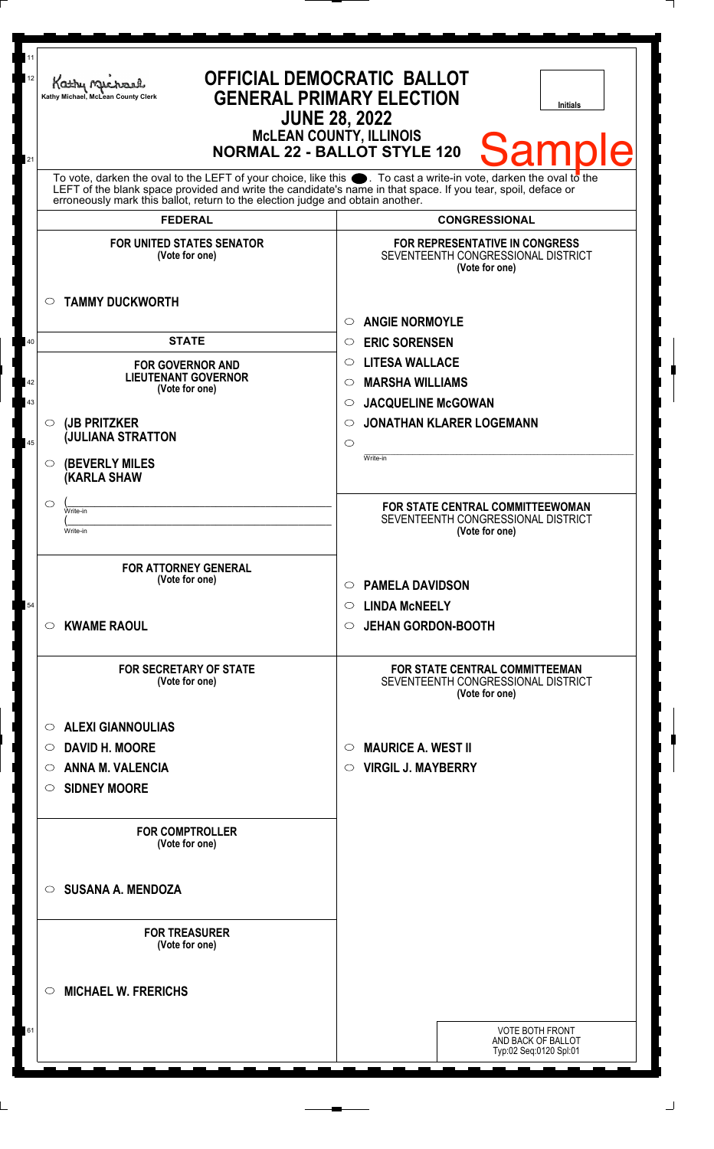| 11<br>12 | <b>OFFICIAL DEMOCRATIC BALLOT</b><br>Kathy Mus<br><b>GENERAL PRIMARY ELECTION</b><br>Kathy Michael, McLean County Clerk<br><b>JUNE 28, 2022</b>                                                                                                                                                                              | <b>Initials</b>                                                                               |
|----------|------------------------------------------------------------------------------------------------------------------------------------------------------------------------------------------------------------------------------------------------------------------------------------------------------------------------------|-----------------------------------------------------------------------------------------------|
| 21       | <b>McLEAN COUNTY, ILLINOIS</b><br><b>Sample</b><br><b>NORMAL 22 - BALLOT STYLE 120</b>                                                                                                                                                                                                                                       |                                                                                               |
|          | To vote, darken the oval to the LEFT of your choice, like this $\bullet$ . To cast a write-in vote, darken the oval to the<br>LEFT of the blank space provided and write the candidate's name in that space. If you tear, spoil, deface or<br>erroneously mark this ballot, return to the election judge and obtain another. |                                                                                               |
|          | <b>FEDERAL</b>                                                                                                                                                                                                                                                                                                               | <b>CONGRESSIONAL</b>                                                                          |
|          | <b>FOR UNITED STATES SENATOR</b><br>(Vote for one)                                                                                                                                                                                                                                                                           | <b>FOR REPRESENTATIVE IN CONGRESS</b><br>SEVENTEENTH CONGRESSIONAL DISTRICT<br>(Vote for one) |
|          | <b>TAMMY DUCKWORTH</b><br>$\circ$                                                                                                                                                                                                                                                                                            | <b>ANGIE NORMOYLE</b><br>◯                                                                    |
| 40       | <b>STATE</b>                                                                                                                                                                                                                                                                                                                 | <b>ERIC SORENSEN</b><br>$\circ$                                                               |
|          | <b>FOR GOVERNOR AND</b>                                                                                                                                                                                                                                                                                                      | <b>LITESA WALLACE</b><br>$\circ$                                                              |
| 42       | <b>LIEUTENANT GOVERNOR</b><br>(Vote for one)                                                                                                                                                                                                                                                                                 | <b>MARSHA WILLIAMS</b><br>◯                                                                   |
| 43       |                                                                                                                                                                                                                                                                                                                              | <b>JACQUELINE McGOWAN</b><br>$\circ$                                                          |
|          | (JB PRITZKER<br>$\circ$                                                                                                                                                                                                                                                                                                      | <b>JONATHAN KLARER LOGEMANN</b><br>◯                                                          |
| 45       | <b>JULIANA STRATTON</b>                                                                                                                                                                                                                                                                                                      | $\circ$                                                                                       |
|          | <b>(BEVERLY MILES)</b><br>$\circ$<br><b>KARLA SHAW</b>                                                                                                                                                                                                                                                                       | Write-in                                                                                      |
|          | $\circlearrowright$<br>Write-in                                                                                                                                                                                                                                                                                              | FOR STATE CENTRAL COMMITTEEWOMAN                                                              |
|          | Write-in                                                                                                                                                                                                                                                                                                                     | SEVENTEENTH CONGRESSIONAL DISTRICT<br>(Vote for one)                                          |
|          |                                                                                                                                                                                                                                                                                                                              |                                                                                               |
|          | <b>FOR ATTORNEY GENERAL</b>                                                                                                                                                                                                                                                                                                  |                                                                                               |
|          | (Vote for one)                                                                                                                                                                                                                                                                                                               | <b>PAMELA DAVIDSON</b><br>$\circ$                                                             |
| 54       |                                                                                                                                                                                                                                                                                                                              | <b>LINDA MCNEELY</b><br>$\circ$                                                               |
|          | <b>KWAME RAOUL</b><br>$\circ$                                                                                                                                                                                                                                                                                                | <b>JEHAN GORDON-BOOTH</b><br>$\circ$                                                          |
|          |                                                                                                                                                                                                                                                                                                                              |                                                                                               |
|          | <b>FOR SECRETARY OF STATE</b><br>(Vote for one)                                                                                                                                                                                                                                                                              | <b>FOR STATE CENTRAL COMMITTEEMAN</b><br>SEVENTEENTH CONGRESSIONAL DISTRICT<br>(Vote for one) |
|          | <b>ALEXI GIANNOULIAS</b><br>$\circ$                                                                                                                                                                                                                                                                                          |                                                                                               |
|          | <b>DAVID H. MOORE</b><br>$\circ$                                                                                                                                                                                                                                                                                             | <b>MAURICE A. WEST II</b><br>$\circlearrowright$                                              |
|          | <b>ANNA M. VALENCIA</b><br>$\circ$                                                                                                                                                                                                                                                                                           | <b>VIRGIL J. MAYBERRY</b><br>$\circ$                                                          |
|          | <b>SIDNEY MOORE</b><br>$\circ$                                                                                                                                                                                                                                                                                               |                                                                                               |
|          |                                                                                                                                                                                                                                                                                                                              |                                                                                               |
|          | <b>FOR COMPTROLLER</b><br>(Vote for one)                                                                                                                                                                                                                                                                                     |                                                                                               |
|          | <b>SUSANA A. MENDOZA</b><br>$\circ$                                                                                                                                                                                                                                                                                          |                                                                                               |
|          | <b>FOR TREASURER</b><br>(Vote for one)                                                                                                                                                                                                                                                                                       |                                                                                               |
|          | <b>MICHAEL W. FRERICHS</b><br>$\circ$                                                                                                                                                                                                                                                                                        |                                                                                               |
| 61       |                                                                                                                                                                                                                                                                                                                              | <b>VOTE BOTH FRONT</b>                                                                        |
|          |                                                                                                                                                                                                                                                                                                                              | AND BACK OF BALLOT<br>Typ:02 Seq:0120 Spl:01                                                  |
|          |                                                                                                                                                                                                                                                                                                                              |                                                                                               |